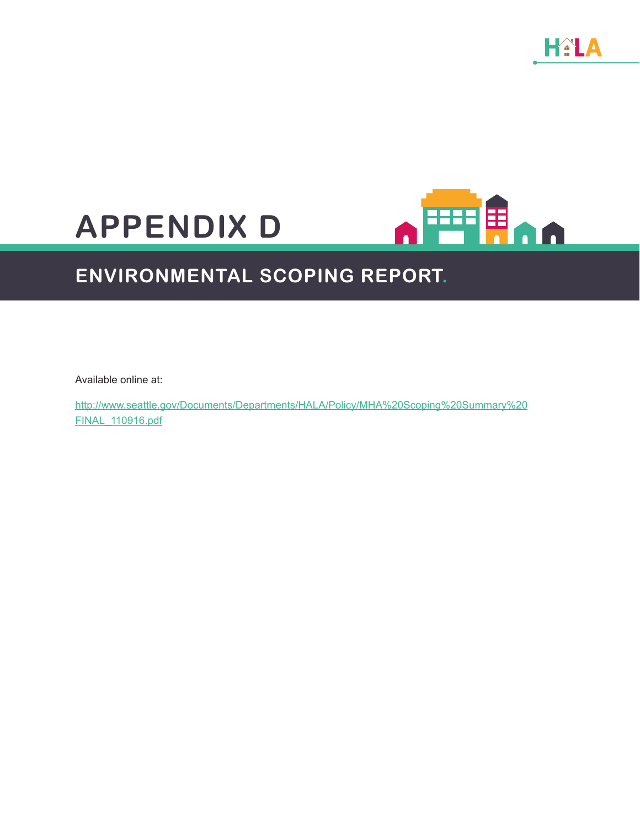HALA

## **APPENDIX D**



## **ENVIRONMENTAL SCOPING REPORT.**

Available online at:

[http://www.seattle.gov/Documents/Departments/HALA/Policy/MHA%20Scoping%20Summary%20](http://www.seattle.gov/Documents/Departments/HALA/Policy/MHA%20Scoping%20Summary%20FINAL_110916.pdf) [FINAL\\_110916.pdf](http://www.seattle.gov/Documents/Departments/HALA/Policy/MHA%20Scoping%20Summary%20FINAL_110916.pdf)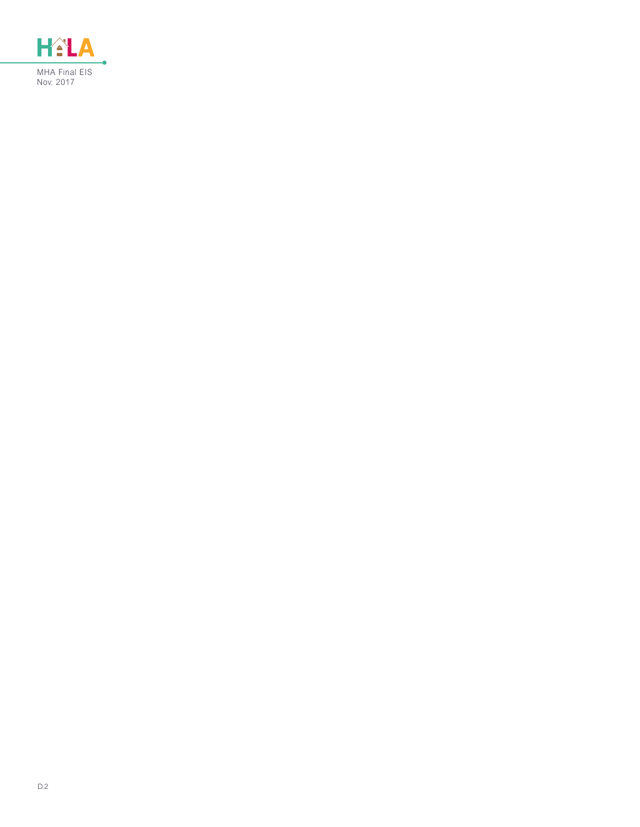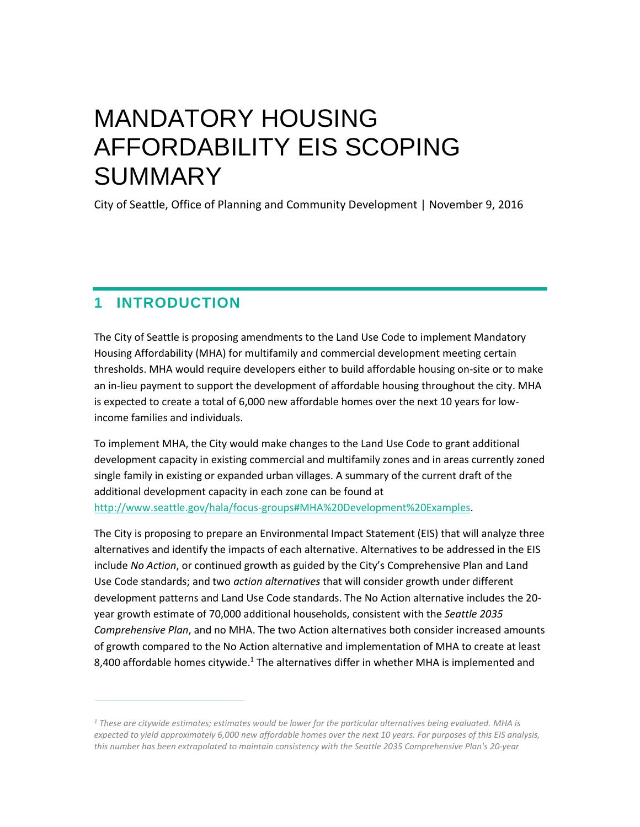## MANDATORY HOUSING AFFORDABILITY EIS SCOPING SUMMARY

City of Seattle, Office of Planning and Community Development | November 9, 2016

### **1 INTRODUCTION**

The City of Seattle is proposing amendments to the Land Use Code to implement Mandatory Housing Affordability (MHA) for multifamily and commercial development meeting certain thresholds. MHA would require developers either to build affordable housing on-site or to make an in-lieu payment to support the development of affordable housing throughout the city. MHA is expected to create a total of 6,000 new affordable homes over the next 10 years for lowincome families and individuals.

To implement MHA, the City would make changes to the Land Use Code to grant additional development capacity in existing commercial and multifamily zones and in areas currently zoned single family in existing or expanded urban villages. A summary of the current draft of the additional development capacity in each zone can be found at [http://www.seattle.gov/hala/focus-groups#MHA%20Development%20Examples.](http://www.seattle.gov/hala/focus-groups#MHA%20Development%20Examples)

The City is proposing to prepare an Environmental Impact Statement (EIS) that will analyze three alternatives and identify the impacts of each alternative. Alternatives to be addressed in the EIS include *No Action*, or continued growth as guided by the City's Comprehensive Plan and Land Use Code standards; and two *action alternatives* that will consider growth under different development patterns and Land Use Code standards. The No Action alternative includes the 20 year growth estimate of 70,000 additional households, consistent with the *Seattle 2035 Comprehensive Plan*, and no MHA. The two Action alternatives both consider increased amounts of growth compared to the No Action alternative and implementation of MHA to create at least 8,400 affordable homes citywide.<sup>1</sup> The alternatives differ in whether MHA is implemented and

*<sup>1</sup> These are citywide estimates; estimates would be lower for the particular alternatives being evaluated. MHA is expected to yield approximately 6,000 new affordable homes over the next 10 years. For purposes of this EIS analysis, this number has been extrapolated to maintain consistency with the Seattle 2035 Comprehensive Plan's 20-year*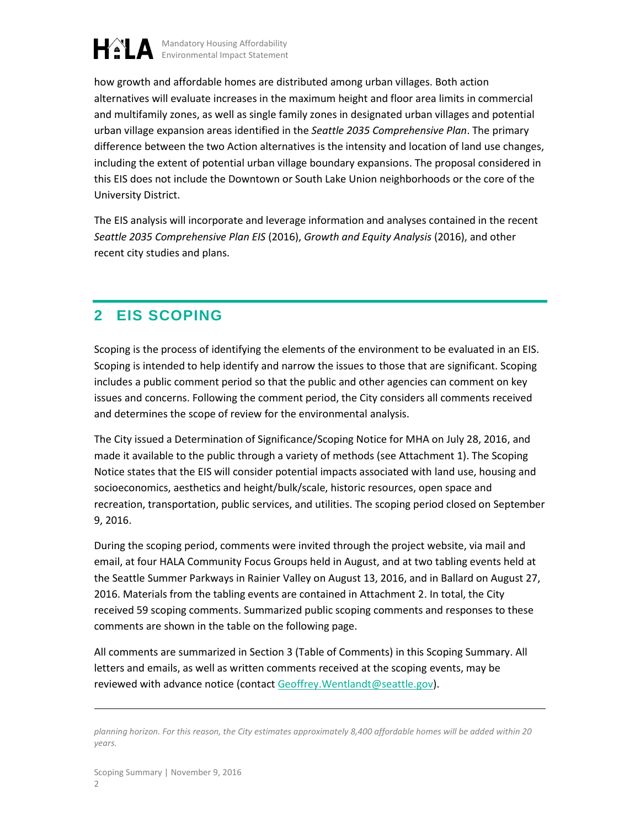

how growth and affordable homes are distributed among urban villages. Both action alternatives will evaluate increases in the maximum height and floor area limits in commercial and multifamily zones, as well as single family zones in designated urban villages and potential urban village expansion areas identified in the *Seattle 2035 Comprehensive Plan*. The primary difference between the two Action alternatives is the intensity and location of land use changes, including the extent of potential urban village boundary expansions. The proposal considered in this EIS does not include the Downtown or South Lake Union neighborhoods or the core of the University District.

The EIS analysis will incorporate and leverage information and analyses contained in the recent *Seattle 2035 Comprehensive Plan EIS* (2016), *Growth and Equity Analysis* (2016), and other recent city studies and plans.

## **2 EIS SCOPING**

Scoping is the process of identifying the elements of the environment to be evaluated in an EIS. Scoping is intended to help identify and narrow the issues to those that are significant. Scoping includes a public comment period so that the public and other agencies can comment on key issues and concerns. Following the comment period, the City considers all comments received and determines the scope of review for the environmental analysis.

The City issued a Determination of Significance/Scoping Notice for MHA on July 28, 2016, and made it available to the public through a variety of methods (see Attachment 1). The Scoping Notice states that the EIS will consider potential impacts associated with land use, housing and socioeconomics, aesthetics and height/bulk/scale, historic resources, open space and recreation, transportation, public services, and utilities. The scoping period closed on September 9, 2016.

During the scoping period, comments were invited through the project website, via mail and email, at four HALA Community Focus Groups held in August, and at two tabling events held at the Seattle Summer Parkways in Rainier Valley on August 13, 2016, and in Ballard on August 27, 2016. Materials from the tabling events are contained in Attachment 2. In total, the City received 59 scoping comments. Summarized public scoping comments and responses to these comments are shown in the table on the following page.

All comments are summarized in Section 3 (Table of Comments) in this Scoping Summary. All letters and emails, as well as written comments received at the scoping events, may be reviewed with advance notice (contact Geoffrey. Wentlandt@seattle.gov).

l

*planning horizon. For this reason, the City estimates approximately 8,400 affordable homes will be added within 20 years.*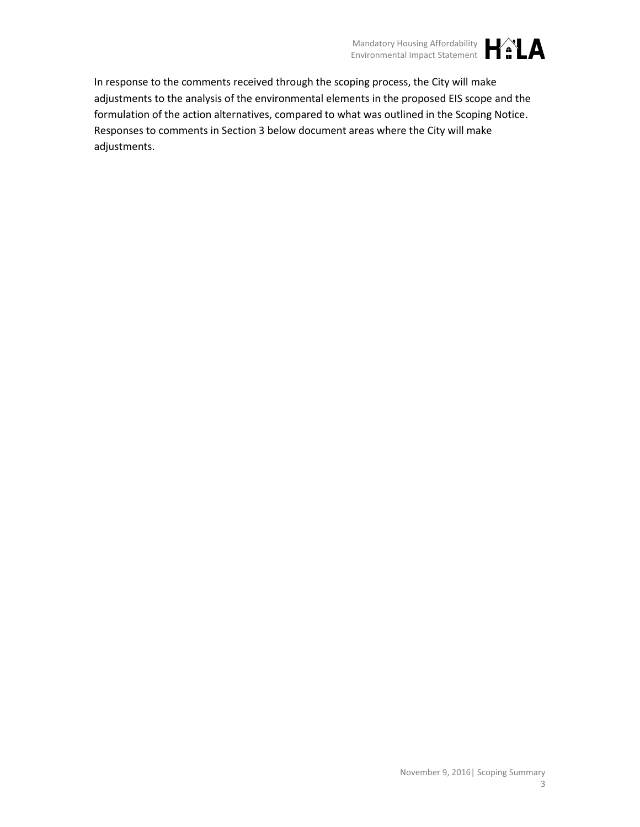

In response to the comments received through the scoping process, the City will make adjustments to the analysis of the environmental elements in the proposed EIS scope and the formulation of the action alternatives, compared to what was outlined in the Scoping Notice. Responses to comments in Section 3 below document areas where the City will make adjustments.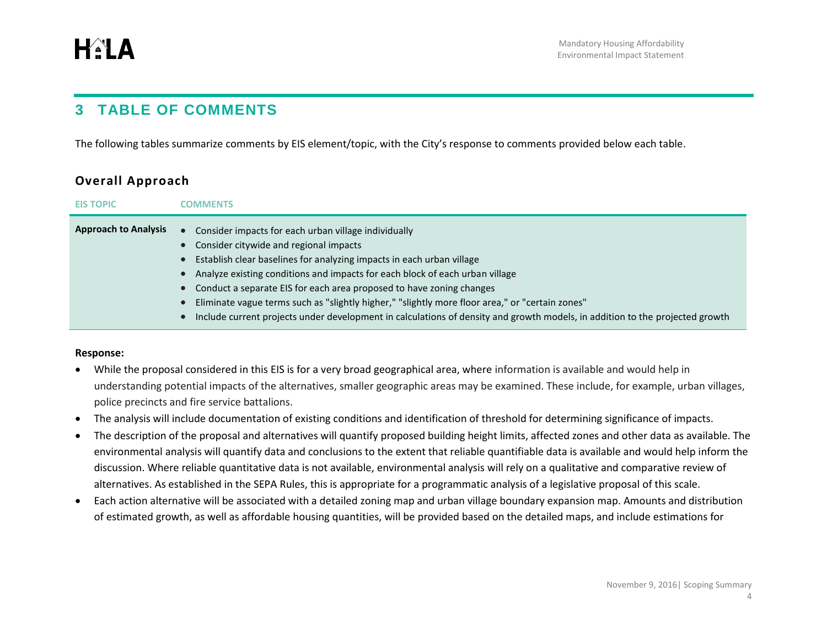### **3 TABLE OF COMMENTS**

The following tables summarize comments by EIS element/topic, with the City's response to comments provided below each table.

#### **Overall Approach**

| <b>EIS TOPIC</b>            | <b>COMMENTS</b>                                                                                                              |
|-----------------------------|------------------------------------------------------------------------------------------------------------------------------|
| <b>Approach to Analysis</b> | Consider impacts for each urban village individually                                                                         |
|                             | Consider citywide and regional impacts                                                                                       |
|                             | Establish clear baselines for analyzing impacts in each urban village                                                        |
|                             | Analyze existing conditions and impacts for each block of each urban village                                                 |
|                             | Conduct a separate EIS for each area proposed to have zoning changes                                                         |
|                             | Eliminate vague terms such as "slightly higher," "slightly more floor area," or "certain zones"                              |
|                             | Include current projects under development in calculations of density and growth models, in addition to the projected growth |

#### **Response:**

- While the proposal considered in this EIS is for a very broad geographical area, where information is available and would help in understanding potential impacts of the alternatives, smaller geographic areas may be examined. These include, for example, urban villages, police precincts and fire service battalions.
- The analysis will include documentation of existing conditions and identification of threshold for determining significance of impacts.
- The description of the proposal and alternatives will quantify proposed building height limits, affected zones and other data as available. The environmental analysis will quantify data and conclusions to the extent that reliable quantifiable data is available and would help inform the discussion. Where reliable quantitative data is not available, environmental analysis will rely on a qualitative and comparative review of alternatives. As established in the SEPA Rules, this is appropriate for a programmatic analysis of a legislative proposal of this scale.
- Each action alternative will be associated with a detailed zoning map and urban village boundary expansion map. Amounts and distribution of estimated growth, as well as affordable housing quantities, will be provided based on the detailed maps, and include estimations for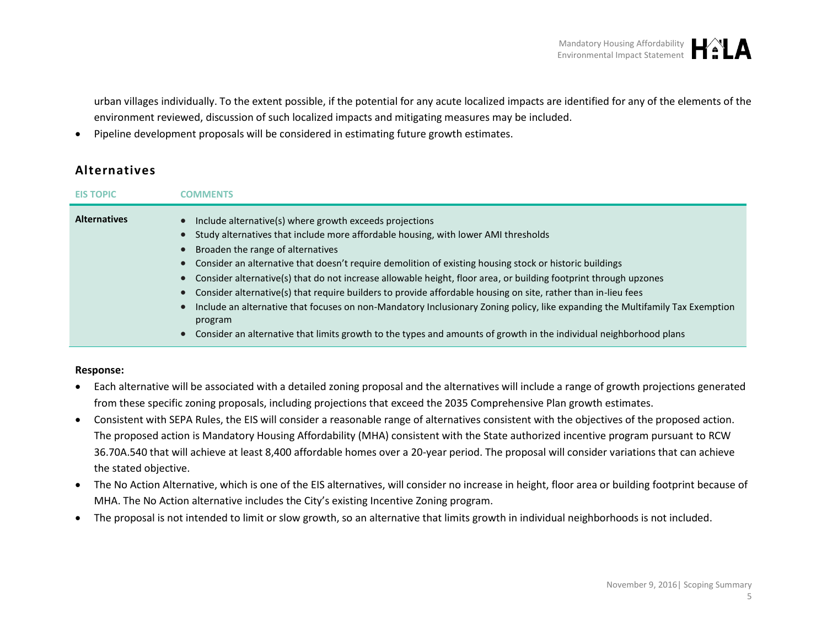

urban villages individually. To the extent possible, if the potential for any acute localized impacts are identified for any of the elements of the environment reviewed, discussion of such localized impacts and mitigating measures may be included.

Pipeline development proposals will be considered in estimating future growth estimates.

#### **Alternatives**

| <b>EIS TOPIC</b>    | <b>COMMENTS</b>                                                                                                                                                                                                                                                                                                                                                                                                                                                                                                                                                                                                                                                                                                                                                                                                                      |
|---------------------|--------------------------------------------------------------------------------------------------------------------------------------------------------------------------------------------------------------------------------------------------------------------------------------------------------------------------------------------------------------------------------------------------------------------------------------------------------------------------------------------------------------------------------------------------------------------------------------------------------------------------------------------------------------------------------------------------------------------------------------------------------------------------------------------------------------------------------------|
| <b>Alternatives</b> | Include alternative(s) where growth exceeds projections<br>$\bullet$<br>• Study alternatives that include more affordable housing, with lower AMI thresholds<br>Broaden the range of alternatives<br>• Consider an alternative that doesn't require demolition of existing housing stock or historic buildings<br>• Consider alternative(s) that do not increase allowable height, floor area, or building footprint through upzones<br>Consider alternative(s) that require builders to provide affordable housing on site, rather than in-lieu fees<br>$\bullet$<br>Include an alternative that focuses on non-Mandatory Inclusionary Zoning policy, like expanding the Multifamily Tax Exemption<br>program<br>Consider an alternative that limits growth to the types and amounts of growth in the individual neighborhood plans |

#### **Response:**

- Each alternative will be associated with a detailed zoning proposal and the alternatives will include a range of growth projections generated from these specific zoning proposals, including projections that exceed the 2035 Comprehensive Plan growth estimates.
- Consistent with SEPA Rules, the EIS will consider a reasonable range of alternatives consistent with the objectives of the proposed action. The proposed action is Mandatory Housing Affordability (MHA) consistent with the State authorized incentive program pursuant to RCW 36.70A.540 that will achieve at least 8,400 affordable homes over a 20-year period. The proposal will consider variations that can achieve the stated objective.
- The No Action Alternative, which is one of the EIS alternatives, will consider no increase in height, floor area or building footprint because of MHA. The No Action alternative includes the City's existing Incentive Zoning program.
- The proposal is not intended to limit or slow growth, so an alternative that limits growth in individual neighborhoods is not included.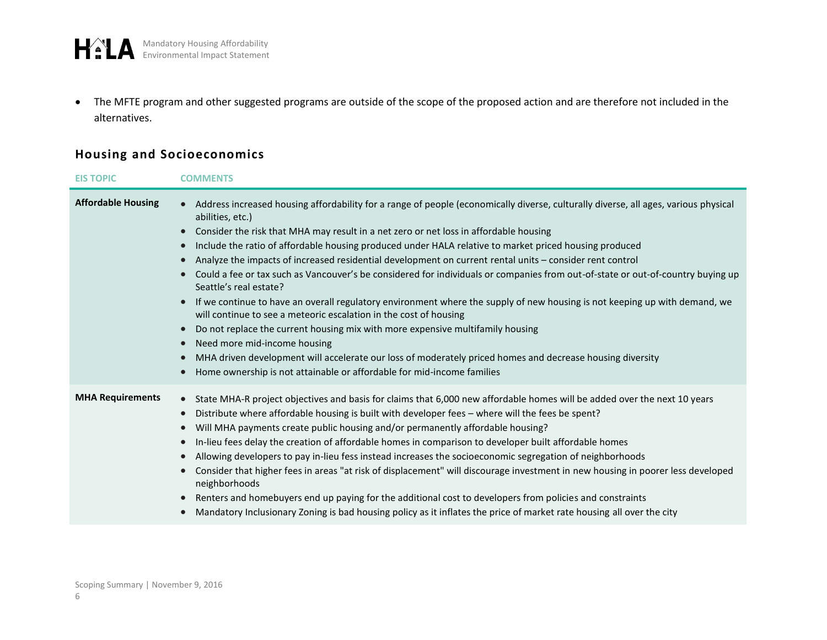The MFTE program and other suggested programs are outside of the scope of the proposed action and are therefore not included in the alternatives.

#### **Housing and Socioeconomics**

| <b>EIS TOPIC</b>          | <b>COMMENTS</b>                                                                                                                                                                                                                                                                                                                                                                                                                                                                                                                                                                                                                                                                                                                                                                                                                                                                                                                                                                                                                                                                                                                                                                                                                                                      |
|---------------------------|----------------------------------------------------------------------------------------------------------------------------------------------------------------------------------------------------------------------------------------------------------------------------------------------------------------------------------------------------------------------------------------------------------------------------------------------------------------------------------------------------------------------------------------------------------------------------------------------------------------------------------------------------------------------------------------------------------------------------------------------------------------------------------------------------------------------------------------------------------------------------------------------------------------------------------------------------------------------------------------------------------------------------------------------------------------------------------------------------------------------------------------------------------------------------------------------------------------------------------------------------------------------|
| <b>Affordable Housing</b> | Address increased housing affordability for a range of people (economically diverse, culturally diverse, all ages, various physical<br>$\bullet$<br>abilities, etc.)<br>Consider the risk that MHA may result in a net zero or net loss in affordable housing<br>$\bullet$<br>Include the ratio of affordable housing produced under HALA relative to market priced housing produced<br>$\bullet$<br>Analyze the impacts of increased residential development on current rental units - consider rent control<br>$\bullet$<br>Could a fee or tax such as Vancouver's be considered for individuals or companies from out-of-state or out-of-country buying up<br>Seattle's real estate?<br>If we continue to have an overall regulatory environment where the supply of new housing is not keeping up with demand, we<br>$\bullet$<br>will continue to see a meteoric escalation in the cost of housing<br>Do not replace the current housing mix with more expensive multifamily housing<br>$\bullet$<br>Need more mid-income housing<br>$\bullet$<br>MHA driven development will accelerate our loss of moderately priced homes and decrease housing diversity<br>$\bullet$<br>Home ownership is not attainable or affordable for mid-income families<br>$\bullet$ |
| <b>MHA Requirements</b>   | State MHA-R project objectives and basis for claims that 6,000 new affordable homes will be added over the next 10 years<br>$\bullet$<br>Distribute where affordable housing is built with developer fees - where will the fees be spent?<br>$\bullet$<br>Will MHA payments create public housing and/or permanently affordable housing?<br>$\bullet$<br>In-lieu fees delay the creation of affordable homes in comparison to developer built affordable homes<br>$\bullet$<br>Allowing developers to pay in-lieu fess instead increases the socioeconomic segregation of neighborhoods<br>$\bullet$<br>Consider that higher fees in areas "at risk of displacement" will discourage investment in new housing in poorer less developed<br>$\bullet$<br>neighborhoods<br>Renters and homebuyers end up paying for the additional cost to developers from policies and constraints<br>$\bullet$<br>Mandatory Inclusionary Zoning is bad housing policy as it inflates the price of market rate housing all over the city                                                                                                                                                                                                                                              |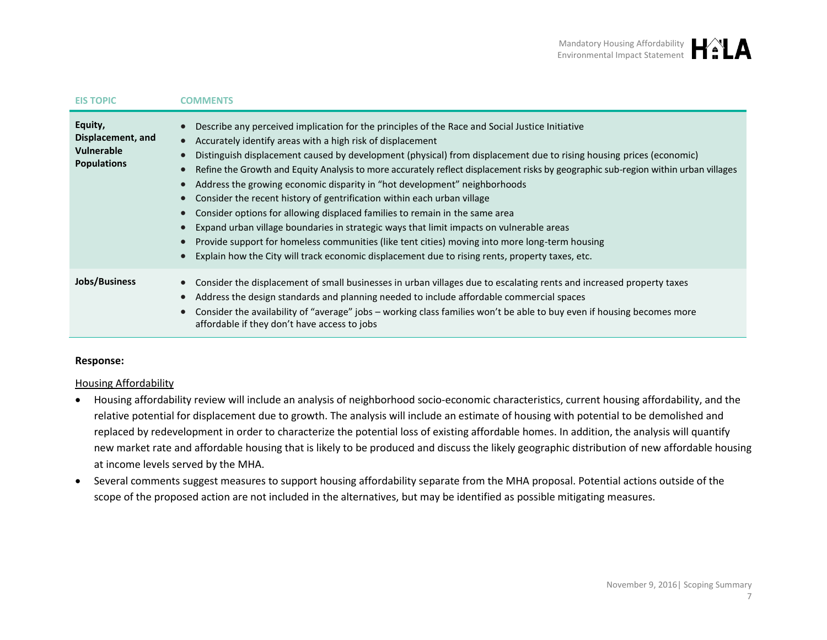| <b>EIS TOPIC</b>                                                 | <b>COMMENTS</b>                                                                                                                                                                                                                                                                                                                                                                                                                                                                                                                                                                                                                                                                                                                                                                                                                                                                                                                                                                                                                                               |
|------------------------------------------------------------------|---------------------------------------------------------------------------------------------------------------------------------------------------------------------------------------------------------------------------------------------------------------------------------------------------------------------------------------------------------------------------------------------------------------------------------------------------------------------------------------------------------------------------------------------------------------------------------------------------------------------------------------------------------------------------------------------------------------------------------------------------------------------------------------------------------------------------------------------------------------------------------------------------------------------------------------------------------------------------------------------------------------------------------------------------------------|
| Equity,<br>Displacement, and<br>Vulnerable<br><b>Populations</b> | Describe any perceived implication for the principles of the Race and Social Justice Initiative<br>Accurately identify areas with a high risk of displacement<br>$\bullet$<br>Distinguish displacement caused by development (physical) from displacement due to rising housing prices (economic)<br>Refine the Growth and Equity Analysis to more accurately reflect displacement risks by geographic sub-region within urban villages<br>$\bullet$<br>Address the growing economic disparity in "hot development" neighborhoods<br>$\bullet$<br>Consider the recent history of gentrification within each urban village<br>$\bullet$<br>Consider options for allowing displaced families to remain in the same area<br>Expand urban village boundaries in strategic ways that limit impacts on vulnerable areas<br>$\bullet$<br>Provide support for homeless communities (like tent cities) moving into more long-term housing<br>$\bullet$<br>Explain how the City will track economic displacement due to rising rents, property taxes, etc.<br>$\bullet$ |
| Jobs/Business                                                    | Consider the displacement of small businesses in urban villages due to escalating rents and increased property taxes<br>$\bullet$<br>Address the design standards and planning needed to include affordable commercial spaces<br>$\bullet$<br>Consider the availability of "average" jobs - working class families won't be able to buy even if housing becomes more<br>affordable if they don't have access to jobs                                                                                                                                                                                                                                                                                                                                                                                                                                                                                                                                                                                                                                          |

#### Housing Affordability

- Housing affordability review will include an analysis of neighborhood socio-economic characteristics, current housing affordability, and the relative potential for displacement due to growth. The analysis will include an estimate of housing with potential to be demolished and replaced by redevelopment in order to characterize the potential loss of existing affordable homes. In addition, the analysis will quantify new market rate and affordable housing that is likely to be produced and discuss the likely geographic distribution of new affordable housing at income levels served by the MHA.
- Several comments suggest measures to support housing affordability separate from the MHA proposal. Potential actions outside of the scope of the proposed action are not included in the alternatives, but may be identified as possible mitigating measures.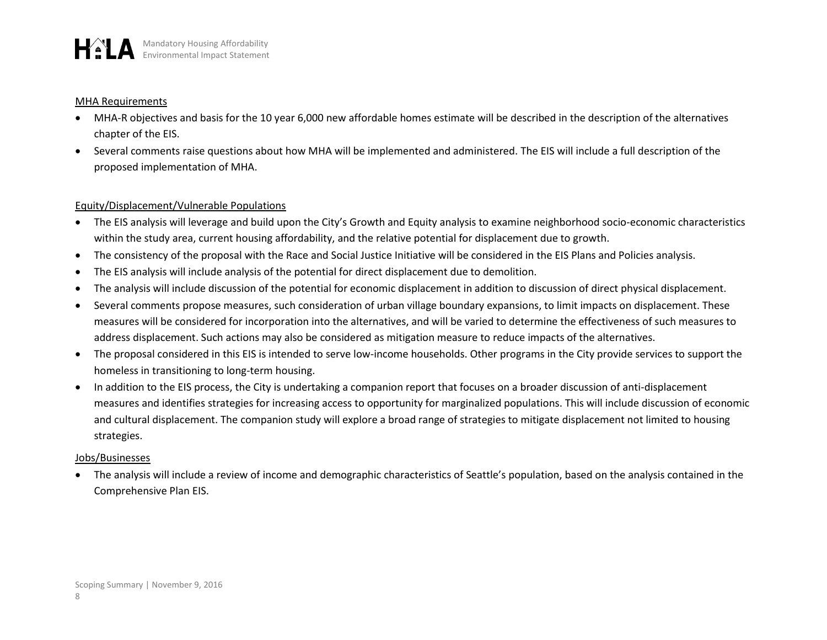#### MHA Requirements

- MHA-R objectives and basis for the 10 year 6,000 new affordable homes estimate will be described in the description of the alternatives chapter of the EIS.
- Several comments raise questions about how MHA will be implemented and administered. The EIS will include a full description of the proposed implementation of MHA.

#### Equity/Displacement/Vulnerable Populations

- The EIS analysis will leverage and build upon the City's Growth and Equity analysis to examine neighborhood socio-economic characteristics within the study area, current housing affordability, and the relative potential for displacement due to growth.
- The consistency of the proposal with the Race and Social Justice Initiative will be considered in the EIS Plans and Policies analysis.
- The EIS analysis will include analysis of the potential for direct displacement due to demolition.
- The analysis will include discussion of the potential for economic displacement in addition to discussion of direct physical displacement.
- Several comments propose measures, such consideration of urban village boundary expansions, to limit impacts on displacement. These measures will be considered for incorporation into the alternatives, and will be varied to determine the effectiveness of such measures to address displacement. Such actions may also be considered as mitigation measure to reduce impacts of the alternatives.
- The proposal considered in this EIS is intended to serve low-income households. Other programs in the City provide services to support the homeless in transitioning to long-term housing.
- In addition to the EIS process, the City is undertaking a companion report that focuses on a broader discussion of anti-displacement measures and identifies strategies for increasing access to opportunity for marginalized populations. This will include discussion of economic and cultural displacement. The companion study will explore a broad range of strategies to mitigate displacement not limited to housing strategies.

#### Jobs/Businesses

 The analysis will include a review of income and demographic characteristics of Seattle's population, based on the analysis contained in the Comprehensive Plan EIS.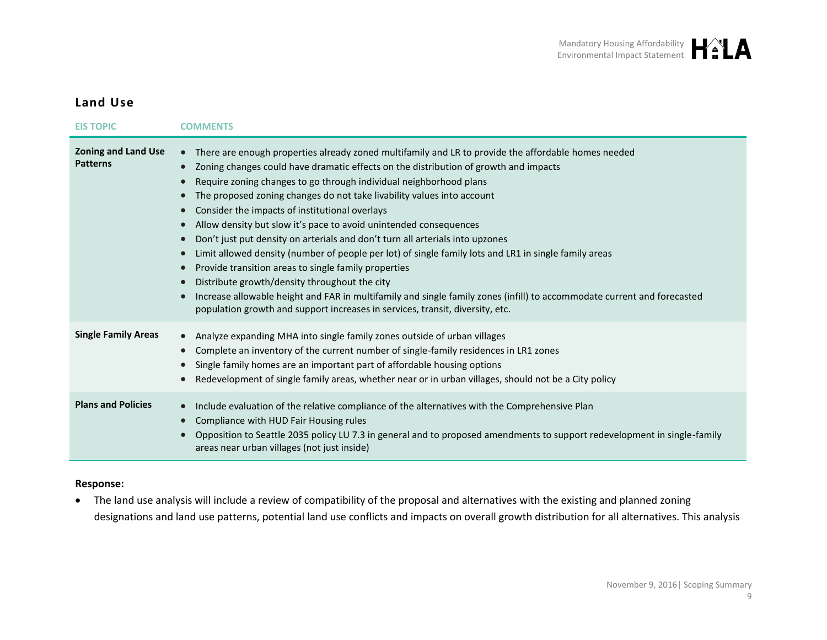

#### **Land Use**

| <b>EIS TOPIC</b>                              | <b>COMMENTS</b>                                                                                                                                                                                                                                                                                                                                                                                                                                                                                                                                                                                                                                                                                                                                                                                                                                                                                                                                                                                                          |
|-----------------------------------------------|--------------------------------------------------------------------------------------------------------------------------------------------------------------------------------------------------------------------------------------------------------------------------------------------------------------------------------------------------------------------------------------------------------------------------------------------------------------------------------------------------------------------------------------------------------------------------------------------------------------------------------------------------------------------------------------------------------------------------------------------------------------------------------------------------------------------------------------------------------------------------------------------------------------------------------------------------------------------------------------------------------------------------|
| <b>Zoning and Land Use</b><br><b>Patterns</b> | There are enough properties already zoned multifamily and LR to provide the affordable homes needed<br>$\bullet$<br>Zoning changes could have dramatic effects on the distribution of growth and impacts<br>Require zoning changes to go through individual neighborhood plans<br>The proposed zoning changes do not take livability values into account<br>Consider the impacts of institutional overlays<br>Allow density but slow it's pace to avoid unintended consequences<br>Don't just put density on arterials and don't turn all arterials into upzones<br>Limit allowed density (number of people per lot) of single family lots and LR1 in single family areas<br>$\bullet$<br>Provide transition areas to single family properties<br>Distribute growth/density throughout the city<br>Increase allowable height and FAR in multifamily and single family zones (infill) to accommodate current and forecasted<br>$\bullet$<br>population growth and support increases in services, transit, diversity, etc. |
| <b>Single Family Areas</b>                    | Analyze expanding MHA into single family zones outside of urban villages<br>$\bullet$<br>Complete an inventory of the current number of single-family residences in LR1 zones<br>Single family homes are an important part of affordable housing options<br>Redevelopment of single family areas, whether near or in urban villages, should not be a City policy                                                                                                                                                                                                                                                                                                                                                                                                                                                                                                                                                                                                                                                         |
| <b>Plans and Policies</b>                     | Include evaluation of the relative compliance of the alternatives with the Comprehensive Plan<br>$\bullet$<br>Compliance with HUD Fair Housing rules<br>Opposition to Seattle 2035 policy LU 7.3 in general and to proposed amendments to support redevelopment in single-family<br>areas near urban villages (not just inside)                                                                                                                                                                                                                                                                                                                                                                                                                                                                                                                                                                                                                                                                                          |

#### **Response:**

 The land use analysis will include a review of compatibility of the proposal and alternatives with the existing and planned zoning designations and land use patterns, potential land use conflicts and impacts on overall growth distribution for all alternatives. This analysis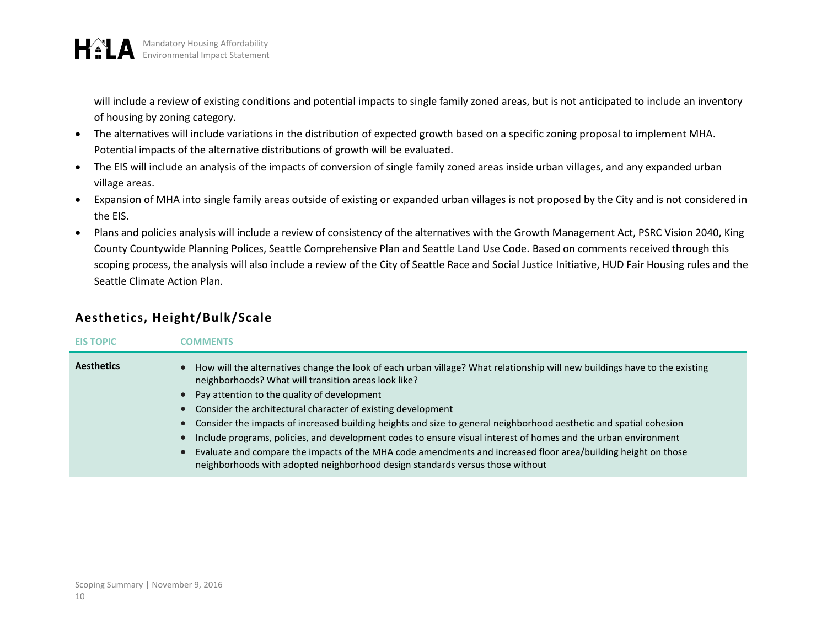will include a review of existing conditions and potential impacts to single family zoned areas, but is not anticipated to include an inventory of housing by zoning category.

- The alternatives will include variations in the distribution of expected growth based on a specific zoning proposal to implement MHA. Potential impacts of the alternative distributions of growth will be evaluated.
- The EIS will include an analysis of the impacts of conversion of single family zoned areas inside urban villages, and any expanded urban village areas.
- Expansion of MHA into single family areas outside of existing or expanded urban villages is not proposed by the City and is not considered in the EIS.
- Plans and policies analysis will include a review of consistency of the alternatives with the Growth Management Act, PSRC Vision 2040, King County Countywide Planning Polices, Seattle Comprehensive Plan and Seattle Land Use Code. Based on comments received through this scoping process, the analysis will also include a review of the City of Seattle Race and Social Justice Initiative, HUD Fair Housing rules and the Seattle Climate Action Plan.

#### **Aesthetics, Height/Bulk/Scale**

| <b>EIS TOPIC</b>  | <b>COMMENTS</b>                                                                                                                                                                                                                                                                                                                                                                                                                                                                                                                                                                                                                                                                                                                                     |
|-------------------|-----------------------------------------------------------------------------------------------------------------------------------------------------------------------------------------------------------------------------------------------------------------------------------------------------------------------------------------------------------------------------------------------------------------------------------------------------------------------------------------------------------------------------------------------------------------------------------------------------------------------------------------------------------------------------------------------------------------------------------------------------|
| <b>Aesthetics</b> | • How will the alternatives change the look of each urban village? What relationship will new buildings have to the existing<br>neighborhoods? What will transition areas look like?<br>• Pay attention to the quality of development<br>• Consider the architectural character of existing development<br>• Consider the impacts of increased building heights and size to general neighborhood aesthetic and spatial cohesion<br>Include programs, policies, and development codes to ensure visual interest of homes and the urban environment<br>Evaluate and compare the impacts of the MHA code amendments and increased floor area/building height on those<br>neighborhoods with adopted neighborhood design standards versus those without |
|                   |                                                                                                                                                                                                                                                                                                                                                                                                                                                                                                                                                                                                                                                                                                                                                     |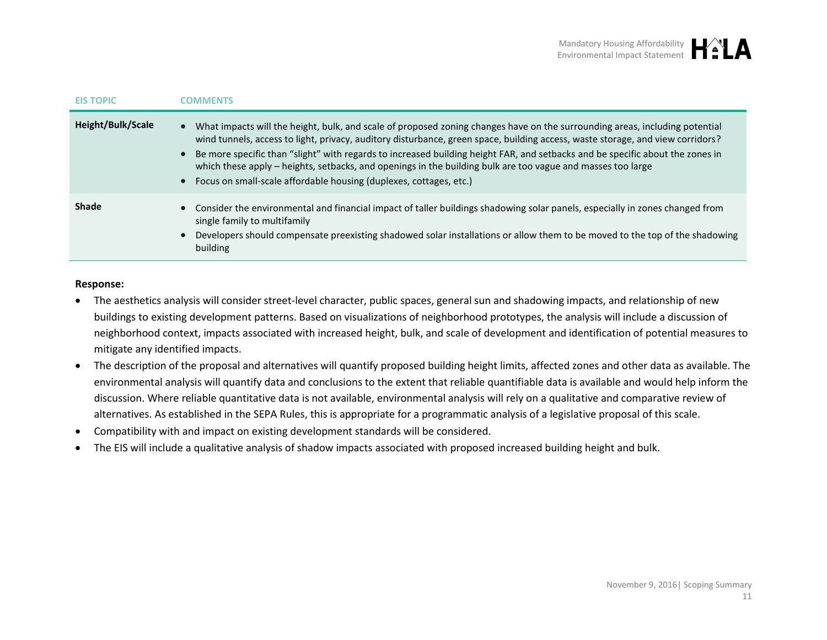| <b>EIS TOPIC</b>  | <b>COMMENTS</b>                                                                                                                                                                                                                                                                                                                                                                                                                                                                                                                                                                                                 |
|-------------------|-----------------------------------------------------------------------------------------------------------------------------------------------------------------------------------------------------------------------------------------------------------------------------------------------------------------------------------------------------------------------------------------------------------------------------------------------------------------------------------------------------------------------------------------------------------------------------------------------------------------|
| Height/Bulk/Scale | What impacts will the height, bulk, and scale of proposed zoning changes have on the surrounding areas, including potential<br>$\bullet$<br>wind tunnels, access to light, privacy, auditory disturbance, green space, building access, waste storage, and view corridors?<br>Be more specific than "slight" with regards to increased building height FAR, and setbacks and be specific about the zones in<br>$\bullet$<br>which these apply - heights, setbacks, and openings in the building bulk are too vague and masses too large<br>• Focus on small-scale affordable housing (duplexes, cottages, etc.) |
| <b>Shade</b>      | Consider the environmental and financial impact of taller buildings shadowing solar panels, especially in zones changed from<br>$\bullet$<br>single family to multifamily<br>Developers should compensate preexisting shadowed solar installations or allow them to be moved to the top of the shadowing<br>$\bullet$<br>building                                                                                                                                                                                                                                                                               |

- The aesthetics analysis will consider street-level character, public spaces, general sun and shadowing impacts, and relationship of new buildings to existing development patterns. Based on visualizations of neighborhood prototypes, the analysis will include a discussion of neighborhood context, impacts associated with increased height, bulk, and scale of development and identification of potential measures to mitigate any identified impacts.
- The description of the proposal and alternatives will quantify proposed building height limits, affected zones and other data as available. The environmental analysis will quantify data and conclusions to the extent that reliable quantifiable data is available and would help inform the discussion. Where reliable quantitative data is not available, environmental analysis will rely on a qualitative and comparative review of alternatives. As established in the SEPA Rules, this is appropriate for a programmatic analysis of a legislative proposal of this scale.
- Compatibility with and impact on existing development standards will be considered.
- The EIS will include a qualitative analysis of shadow impacts associated with proposed increased building height and bulk.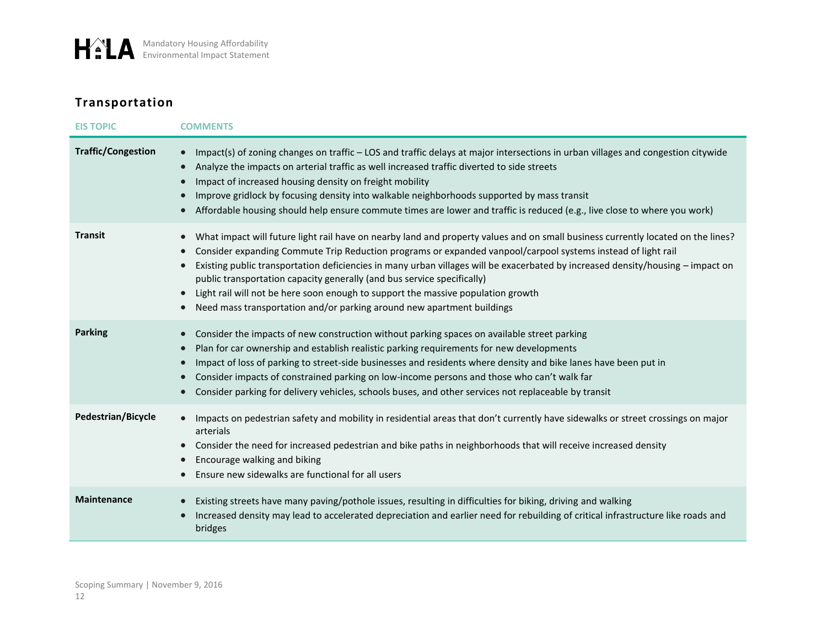### **Transportation**

| <b>EIS TOPIC</b>          | <b>COMMENTS</b>                                                                                                                                                                                                                                                                                                                                                                                                                                                                                                                                                                                                                                                                  |
|---------------------------|----------------------------------------------------------------------------------------------------------------------------------------------------------------------------------------------------------------------------------------------------------------------------------------------------------------------------------------------------------------------------------------------------------------------------------------------------------------------------------------------------------------------------------------------------------------------------------------------------------------------------------------------------------------------------------|
| <b>Traffic/Congestion</b> | Impact(s) of zoning changes on traffic - LOS and traffic delays at major intersections in urban villages and congestion citywide<br>$\bullet$<br>Analyze the impacts on arterial traffic as well increased traffic diverted to side streets<br>$\bullet$<br>Impact of increased housing density on freight mobility<br>$\bullet$<br>Improve gridlock by focusing density into walkable neighborhoods supported by mass transit<br>$\bullet$<br>Affordable housing should help ensure commute times are lower and traffic is reduced (e.g., live close to where you work)                                                                                                         |
| <b>Transit</b>            | What impact will future light rail have on nearby land and property values and on small business currently located on the lines?<br>$\bullet$<br>Consider expanding Commute Trip Reduction programs or expanded vanpool/carpool systems instead of light rail<br>$\bullet$<br>Existing public transportation deficiencies in many urban villages will be exacerbated by increased density/housing - impact on<br>public transportation capacity generally (and bus service specifically)<br>Light rail will not be here soon enough to support the massive population growth<br>$\bullet$<br>Need mass transportation and/or parking around new apartment buildings<br>$\bullet$ |
| <b>Parking</b>            | Consider the impacts of new construction without parking spaces on available street parking<br>$\bullet$<br>Plan for car ownership and establish realistic parking requirements for new developments<br>$\bullet$<br>Impact of loss of parking to street-side businesses and residents where density and bike lanes have been put in<br>$\bullet$<br>Consider impacts of constrained parking on low-income persons and those who can't walk far<br>$\bullet$<br>Consider parking for delivery vehicles, schools buses, and other services not replaceable by transit<br>$\bullet$                                                                                                |
| Pedestrian/Bicycle        | Impacts on pedestrian safety and mobility in residential areas that don't currently have sidewalks or street crossings on major<br>$\bullet$<br>arterials<br>Consider the need for increased pedestrian and bike paths in neighborhoods that will receive increased density<br>$\bullet$<br>Encourage walking and biking<br>$\bullet$<br>Ensure new sidewalks are functional for all users                                                                                                                                                                                                                                                                                       |
| <b>Maintenance</b>        | Existing streets have many paving/pothole issues, resulting in difficulties for biking, driving and walking<br>$\bullet$<br>Increased density may lead to accelerated depreciation and earlier need for rebuilding of critical infrastructure like roads and<br>bridges                                                                                                                                                                                                                                                                                                                                                                                                          |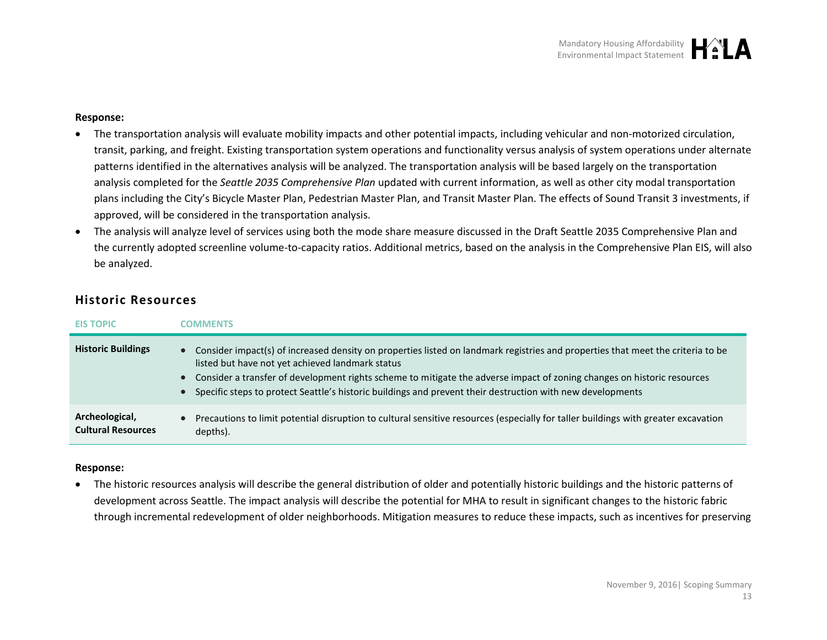- The transportation analysis will evaluate mobility impacts and other potential impacts, including vehicular and non-motorized circulation, transit, parking, and freight. Existing transportation system operations and functionality versus analysis of system operations under alternate patterns identified in the alternatives analysis will be analyzed. The transportation analysis will be based largely on the transportation analysis completed for the *Seattle 2035 Comprehensive Plan* updated with current information, as well as other city modal transportation plans including the City's Bicycle Master Plan, Pedestrian Master Plan, and Transit Master Plan. The effects of Sound Transit 3 investments, if approved, will be considered in the transportation analysis.
- The analysis will analyze level of services using both the mode share measure discussed in the Draft Seattle 2035 Comprehensive Plan and the currently adopted screenline volume-to-capacity ratios. Additional metrics, based on the analysis in the Comprehensive Plan EIS, will also be analyzed.

#### **Historic Resources**

| <b>EIS TOPIC</b>                            | <b>COMMENTS</b>                                                                                                                                                                                                                                                                                                                                                                                                                    |
|---------------------------------------------|------------------------------------------------------------------------------------------------------------------------------------------------------------------------------------------------------------------------------------------------------------------------------------------------------------------------------------------------------------------------------------------------------------------------------------|
| <b>Historic Buildings</b>                   | • Consider impact(s) of increased density on properties listed on landmark registries and properties that meet the criteria to be<br>listed but have not yet achieved landmark status<br>• Consider a transfer of development rights scheme to mitigate the adverse impact of zoning changes on historic resources<br>• Specific steps to protect Seattle's historic buildings and prevent their destruction with new developments |
| Archeological,<br><b>Cultural Resources</b> | Precautions to limit potential disruption to cultural sensitive resources (especially for taller buildings with greater excavation<br>$\bullet$<br>depths).                                                                                                                                                                                                                                                                        |

#### **Response:**

 The historic resources analysis will describe the general distribution of older and potentially historic buildings and the historic patterns of development across Seattle. The impact analysis will describe the potential for MHA to result in significant changes to the historic fabric through incremental redevelopment of older neighborhoods. Mitigation measures to reduce these impacts, such as incentives for preserving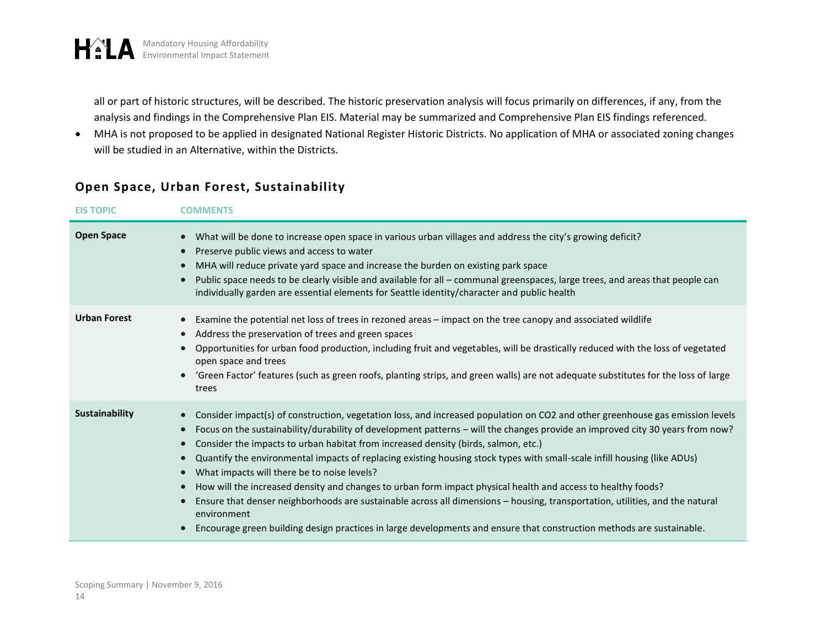all or part of historic structures, will be described. The historic preservation analysis will focus primarily on differences, if any, from the analysis and findings in the Comprehensive Plan EIS. Material may be summarized and Comprehensive Plan EIS findings referenced.

 MHA is not proposed to be applied in designated National Register Historic Districts. No application of MHA or associated zoning changes will be studied in an Alternative, within the Districts.

| <b>EIS TOPIC</b>    | <b>COMMENTS</b>                                                                                                                                                                                                                                                                                                                                                                                                                                                                                                                                                                                                                                                                                                                                                                                                                                                                                                                                   |
|---------------------|---------------------------------------------------------------------------------------------------------------------------------------------------------------------------------------------------------------------------------------------------------------------------------------------------------------------------------------------------------------------------------------------------------------------------------------------------------------------------------------------------------------------------------------------------------------------------------------------------------------------------------------------------------------------------------------------------------------------------------------------------------------------------------------------------------------------------------------------------------------------------------------------------------------------------------------------------|
| <b>Open Space</b>   | What will be done to increase open space in various urban villages and address the city's growing deficit?<br>Preserve public views and access to water<br>$\bullet$<br>MHA will reduce private yard space and increase the burden on existing park space<br>Public space needs to be clearly visible and available for all – communal greenspaces, large trees, and areas that people can<br>individually garden are essential elements for Seattle identity/character and public health                                                                                                                                                                                                                                                                                                                                                                                                                                                         |
| <b>Urban Forest</b> | Examine the potential net loss of trees in rezoned areas - impact on the tree canopy and associated wildlife<br>Address the preservation of trees and green spaces<br>Opportunities for urban food production, including fruit and vegetables, will be drastically reduced with the loss of vegetated<br>open space and trees<br>'Green Factor' features (such as green roofs, planting strips, and green walls) are not adequate substitutes for the loss of large<br>trees                                                                                                                                                                                                                                                                                                                                                                                                                                                                      |
| Sustainability      | Consider impact(s) of construction, vegetation loss, and increased population on CO2 and other greenhouse gas emission levels<br>Focus on the sustainability/durability of development patterns - will the changes provide an improved city 30 years from now?<br>$\bullet$<br>Consider the impacts to urban habitat from increased density (birds, salmon, etc.)<br>Quantify the environmental impacts of replacing existing housing stock types with small-scale infill housing (like ADUs)<br>What impacts will there be to noise levels?<br>How will the increased density and changes to urban form impact physical health and access to healthy foods?<br>$\bullet$<br>Ensure that denser neighborhoods are sustainable across all dimensions - housing, transportation, utilities, and the natural<br>environment<br>Encourage green building design practices in large developments and ensure that construction methods are sustainable. |

#### **Open Space, Urban Forest, Sustainability**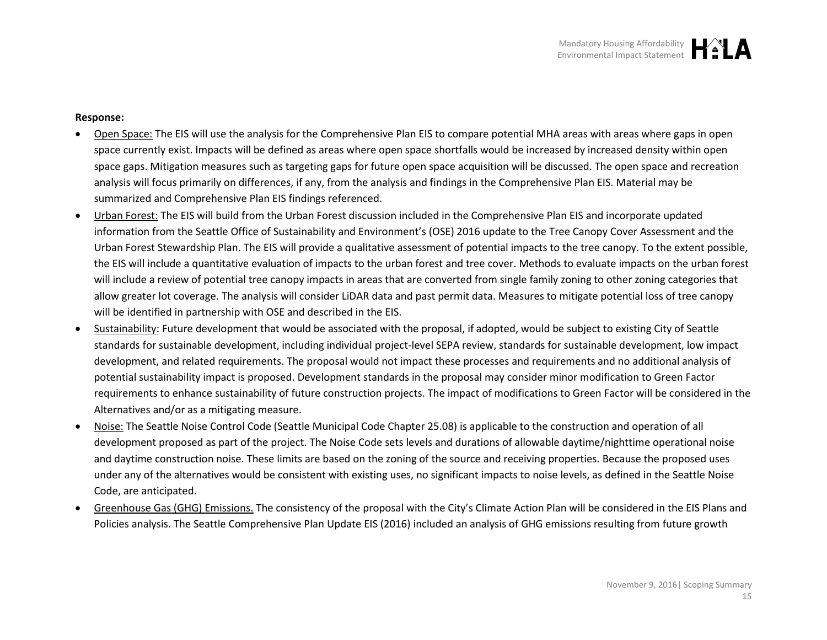- Open Space: The EIS will use the analysis for the Comprehensive Plan EIS to compare potential MHA areas with areas where gaps in open space currently exist. Impacts will be defined as areas where open space shortfalls would be increased by increased density within open space gaps. Mitigation measures such as targeting gaps for future open space acquisition will be discussed. The open space and recreation analysis will focus primarily on differences, if any, from the analysis and findings in the Comprehensive Plan EIS. Material may be summarized and Comprehensive Plan EIS findings referenced.
- Urban Forest: The EIS will build from the Urban Forest discussion included in the Comprehensive Plan EIS and incorporate updated information from the Seattle Office of Sustainability and Environment's (OSE) 2016 update to the Tree Canopy Cover Assessment and the Urban Forest Stewardship Plan. The EIS will provide a qualitative assessment of potential impacts to the tree canopy. To the extent possible, the EIS will include a quantitative evaluation of impacts to the urban forest and tree cover. Methods to evaluate impacts on the urban forest will include a review of potential tree canopy impacts in areas that are converted from single family zoning to other zoning categories that allow greater lot coverage. The analysis will consider LiDAR data and past permit data. Measures to mitigate potential loss of tree canopy will be identified in partnership with OSE and described in the EIS.
- Sustainability: Future development that would be associated with the proposal, if adopted, would be subject to existing City of Seattle standards for sustainable development, including individual project-level SEPA review, standards for sustainable development, low impact development, and related requirements. The proposal would not impact these processes and requirements and no additional analysis of potential sustainability impact is proposed. Development standards in the proposal may consider minor modification to Green Factor requirements to enhance sustainability of future construction projects. The impact of modifications to Green Factor will be considered in the Alternatives and/or as a mitigating measure.
- Noise: The Seattle Noise Control Code (Seattle Municipal Code Chapter 25.08) is applicable to the construction and operation of all development proposed as part of the project. The Noise Code sets levels and durations of allowable daytime/nighttime operational noise and daytime construction noise. These limits are based on the zoning of the source and receiving properties. Because the proposed uses under any of the alternatives would be consistent with existing uses, no significant impacts to noise levels, as defined in the Seattle Noise Code, are anticipated.
- Greenhouse Gas (GHG) Emissions. The consistency of the proposal with the City's Climate Action Plan will be considered in the EIS Plans and Policies analysis. The Seattle Comprehensive Plan Update EIS (2016) included an analysis of GHG emissions resulting from future growth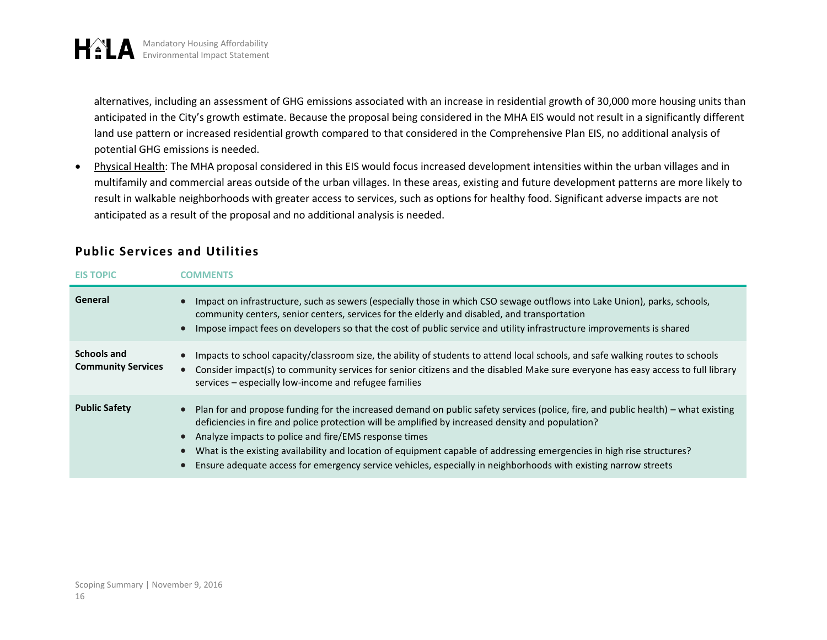alternatives, including an assessment of GHG emissions associated with an increase in residential growth of 30,000 more housing units than anticipated in the City's growth estimate. Because the proposal being considered in the MHA EIS would not result in a significantly different land use pattern or increased residential growth compared to that considered in the Comprehensive Plan EIS, no additional analysis of potential GHG emissions is needed.

 Physical Health: The MHA proposal considered in this EIS would focus increased development intensities within the urban villages and in multifamily and commercial areas outside of the urban villages. In these areas, existing and future development patterns are more likely to result in walkable neighborhoods with greater access to services, such as options for healthy food. Significant adverse impacts are not anticipated as a result of the proposal and no additional analysis is needed.

| <b>EIS TOPIC</b>                         | <b>COMMENTS</b>                                                                                                                                                                                                                                                                                                                                                                                                                                                                                                                                             |
|------------------------------------------|-------------------------------------------------------------------------------------------------------------------------------------------------------------------------------------------------------------------------------------------------------------------------------------------------------------------------------------------------------------------------------------------------------------------------------------------------------------------------------------------------------------------------------------------------------------|
| General                                  | Impact on infrastructure, such as sewers (especially those in which CSO sewage outflows into Lake Union), parks, schools,<br>$\bullet$<br>community centers, senior centers, services for the elderly and disabled, and transportation<br>Impose impact fees on developers so that the cost of public service and utility infrastructure improvements is shared<br>$\bullet$                                                                                                                                                                                |
| Schools and<br><b>Community Services</b> | Impacts to school capacity/classroom size, the ability of students to attend local schools, and safe walking routes to schools<br>$\bullet$<br>Consider impact(s) to community services for senior citizens and the disabled Make sure everyone has easy access to full library<br>$\bullet$<br>services – especially low-income and refugee families                                                                                                                                                                                                       |
| <b>Public Safety</b>                     | • Plan for and propose funding for the increased demand on public safety services (police, fire, and public health) – what existing<br>deficiencies in fire and police protection will be amplified by increased density and population?<br>Analyze impacts to police and fire/EMS response times<br>$\bullet$<br>What is the existing availability and location of equipment capable of addressing emergencies in high rise structures?<br>Ensure adequate access for emergency service vehicles, especially in neighborhoods with existing narrow streets |

#### **Public Services and Utilities**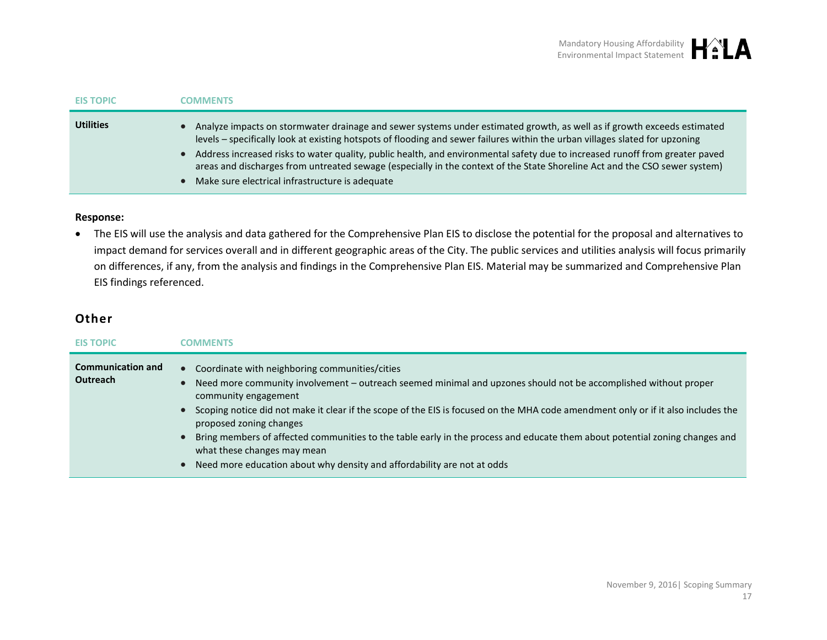| <b>EIS TOPIC</b> | <b>COMMENTS</b>                                                                                                                                                                                                                                                                                                                                                                                                                                                                                                                                                                                    |
|------------------|----------------------------------------------------------------------------------------------------------------------------------------------------------------------------------------------------------------------------------------------------------------------------------------------------------------------------------------------------------------------------------------------------------------------------------------------------------------------------------------------------------------------------------------------------------------------------------------------------|
| <b>Utilities</b> | Analyze impacts on stormwater drainage and sewer systems under estimated growth, as well as if growth exceeds estimated<br>levels - specifically look at existing hotspots of flooding and sewer failures within the urban villages slated for upzoning<br>Address increased risks to water quality, public health, and environmental safety due to increased runoff from greater paved<br>$\bullet$<br>areas and discharges from untreated sewage (especially in the context of the State Shoreline Act and the CSO sewer system)<br>Make sure electrical infrastructure is adequate<br>$\bullet$ |

 The EIS will use the analysis and data gathered for the Comprehensive Plan EIS to disclose the potential for the proposal and alternatives to impact demand for services overall and in different geographic areas of the City. The public services and utilities analysis will focus primarily on differences, if any, from the analysis and findings in the Comprehensive Plan EIS. Material may be summarized and Comprehensive Plan EIS findings referenced.

#### **Other**

| <b>EIS TOPIC</b>                            | COMMENTS                                                                                                                                                                                                                                                                                                                                                                                                                                                                                                                                                                                                                       |
|---------------------------------------------|--------------------------------------------------------------------------------------------------------------------------------------------------------------------------------------------------------------------------------------------------------------------------------------------------------------------------------------------------------------------------------------------------------------------------------------------------------------------------------------------------------------------------------------------------------------------------------------------------------------------------------|
| <b>Communication and</b><br><b>Outreach</b> | Coordinate with neighboring communities/cities<br>$\bullet$<br>Need more community involvement – outreach seemed minimal and upzones should not be accomplished without proper<br>$\bullet$<br>community engagement<br>• Scoping notice did not make it clear if the scope of the EIS is focused on the MHA code amendment only or if it also includes the<br>proposed zoning changes<br>Bring members of affected communities to the table early in the process and educate them about potential zoning changes and<br>what these changes may mean<br>Need more education about why density and affordability are not at odds |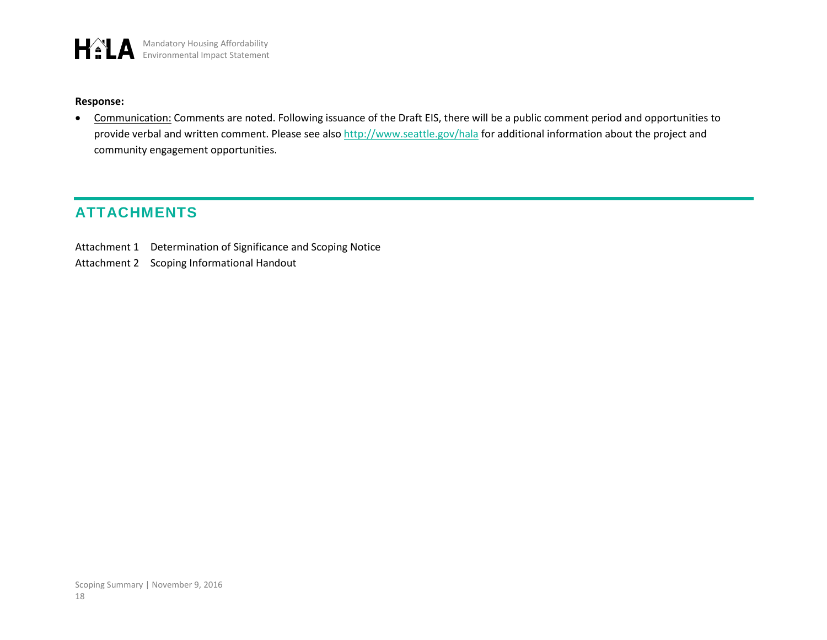Communication: Comments are noted. Following issuance of the Draft EIS, there will be a public comment period and opportunities to provide verbal and written comment. Please see also <http://www.seattle.gov/hala> for additional information about the project and community engagement opportunities.

## **ATTACHMENTS**

- Attachment 1 Determination of Significance and Scoping Notice
- Attachment 2 Scoping Informational Handout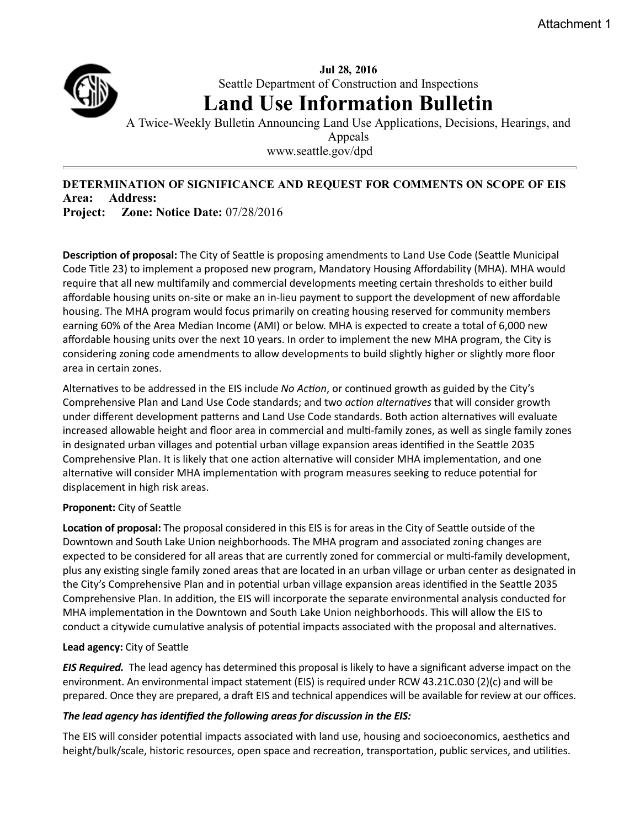

## Jul 28, 2016 Seattle Department of Construction and Inspections

## Land Use Information Bulletin

A Twice-Weekly Bulletin Announcing Land Use Applications, Decisions, Hearings, and Appeals

www.seattle.gov/dpd

### DETERMINATION OF SIGNIFICANCE AND REQUEST FOR COMMENTS ON SCOPE OF EIS Area: **Address:**

Project: Zone: Notice Date: 07/28/2016

Description of proposal: The City of Seattle is proposing amendments to Land Use Code (Seattle Municipal Code Title 23) to implement a proposed new program, Mandatory Housing Affordability (MHA). MHA would require that all new multifamily and commercial developments meeting certain thresholds to either build affordable housing units on‐site or make an in‐lieu payment to support the development of new affordable housing. The MHA program would focus primarily on creating housing reserved for community members earning 60% of the Area Median Income (AMI) or below. MHA is expected to create a total of 6,000 new affordable housing units over the next 10 years. In order to implement the new MHA program, the City is considering zoning code amendments to allow developments to build slightly higher or slightly more floor area in certain zones.

Alternatives to be addressed in the EIS include *No Action*, or continued growth as guided by the City's Comprehensive Plan and Land Use Code standards; and two *acĕon alternaĕves* that will consider growth under different development patterns and Land Use Code standards. Both action alternatives will evaluate increased allowable height and floor area in commercial and multi-family zones, as well as single family zones in designated urban villages and potential urban village expansion areas identified in the Seattle 2035 Comprehensive Plan. It is likely that one action alternative will consider MHA implementation, and one alternative will consider MHA implementation with program measures seeking to reduce potential for displacement in high risk areas.

#### Proponent: City of Seattle

Location of proposal: The proposal considered in this EIS is for areas in the City of Seattle outside of the Downtown and South Lake Union neighborhoods. The MHA program and associated zoning changes are expected to be considered for all areas that are currently zoned for commercial or multi-family development, plus any existing single family zoned areas that are located in an urban village or urban center as designated in the City's Comprehensive Plan and in potential urban village expansion areas identified in the Seattle 2035 Comprehensive Plan. In addition, the EIS will incorporate the separate environmental analysis conducted for MHA implementation in the Downtown and South Lake Union neighborhoods. This will allow the EIS to conduct a citywide cumulative analysis of potential impacts associated with the proposal and alternatives.

#### Lead agency: City of Seattle

*EIS Required.* The lead agency has determined this proposal is likely to have a significant adverse impact on the environment. An environmental impact statement (EIS) is required under RCW 43.21C.030 (2)(c) and will be prepared. Once they are prepared, a draft EIS and technical appendices will be available for review at our offices.

#### The lead agency has identified the following areas for discussion in the EIS:

The EIS will consider potential impacts associated with land use, housing and socioeconomics, aesthetics and height/bulk/scale, historic resources, open space and recreation, transportation, public services, and utilities.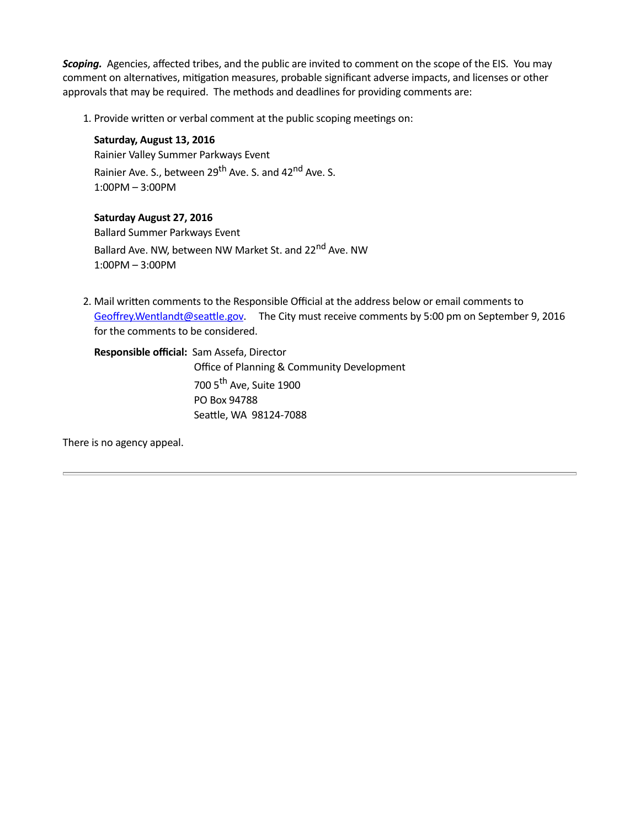*Scoping.*  Agencies, affected tribes, and the public are invited to comment on the scope of the EIS. You may comment on alternatives, mitigation measures, probable significant adverse impacts, and licenses or other approvals that may be required. The methods and deadlines for providing comments are:

1. Provide written or verbal comment at the public scoping meetings on:

#### Saturday, August 13, 2016 Rainier Valley Summer Parkways Event Rainier Ave. S., between 29<sup>th</sup> Ave. S. and 42<sup>nd</sup> Ave. S. 1:00PM – 3:00PM

#### Saturday August 27, 2016

Ballard Summer Parkways Event Ballard Ave. NW, between NW Market St. and 22<sup>nd</sup> Ave. NW 1:00PM – 3:00PM

2. Mail written comments to the Responsible Official at the address below or email comments to Geoffrey.Wentlandt@seattle.gov. The City must receive comments by 5:00 pm on September 9, 2016 for the comments to be considered.

Responsible official: Sam Assefa, Director Office of Planning & Community Development 700 5<sup>th</sup> Ave, Suite 1900 PO Box 94788 Seattle, WA 98124-7088

There is no agency appeal.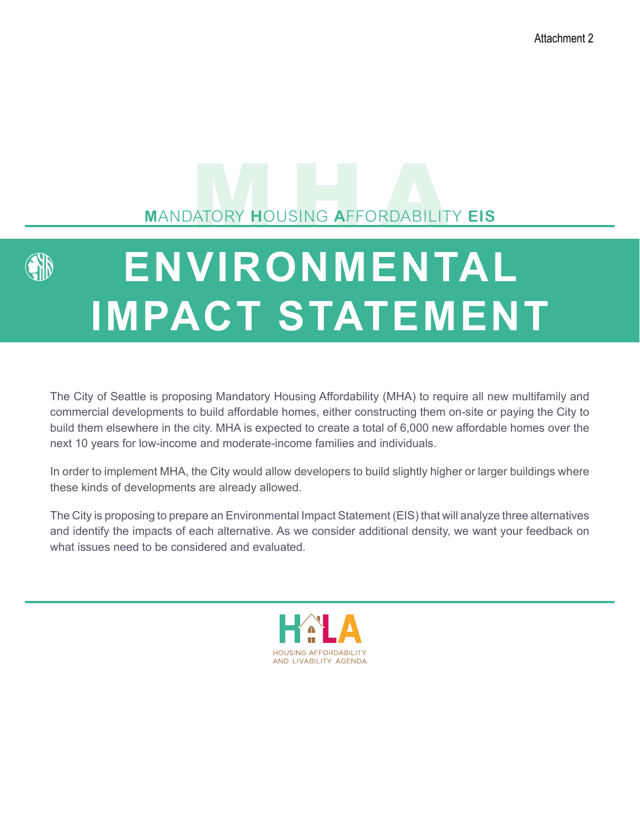Attachment 2

## **<sup>M</sup>**ANDATORY MHA **<sup>H</sup>**OUSING **<sup>A</sup>**FFORDABILITY **EIS**

# **ENVIRONMENTAL IMPACT STATEMENT**

The City of Seattle is proposing Mandatory Housing Affordability (MHA) to require all new multifamily and commercial developments to build affordable homes, either constructing them on-site or paying the City to build them elsewhere in the city. MHA is expected to create a total of 6,000 new affordable homes over the next 10 years for low-income and moderate-income families and individuals.

In order to implement MHA, the City would allow developers to build slightly higher or larger buildings where these kinds of developments are already allowed.

The City is proposing to prepare an Environmental Impact Statement (EIS) that will analyze three alternatives and identify the impacts of each alternative. As we consider additional density, we want your feedback on what issues need to be considered and evaluated.

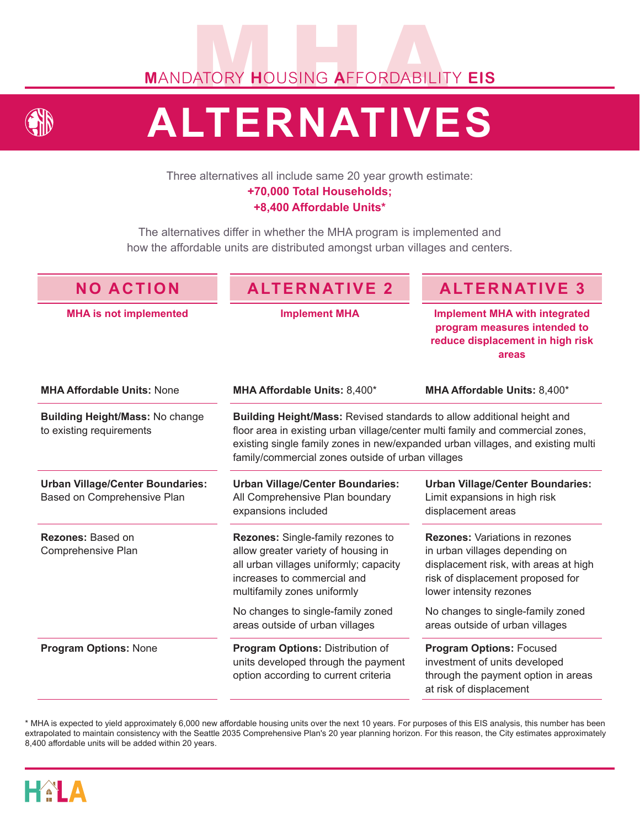**<sup>M</sup>**ANDATORY MHA **<sup>H</sup>**OUSING **<sup>A</sup>**FFORDABILITY **EIS**



# **ALTERNATIVES**

Three alternatives all include same 20 year growth estimate:

#### **+70,000 Total Households; +8,400 Affordable Units\***

The alternatives differ in whether the MHA program is implemented and how the affordable units are distributed amongst urban villages and centers.

| <b>NO ACTION</b>                                                       | <b>ALTERNATIVE 2</b>                                                                                                                                                                                                                                                                             | <b>ALTERNATIVE 3</b>                                                                                                                                                             |  |
|------------------------------------------------------------------------|--------------------------------------------------------------------------------------------------------------------------------------------------------------------------------------------------------------------------------------------------------------------------------------------------|----------------------------------------------------------------------------------------------------------------------------------------------------------------------------------|--|
| <b>MHA is not implemented</b>                                          | <b>Implement MHA</b>                                                                                                                                                                                                                                                                             | <b>Implement MHA with integrated</b><br>program measures intended to<br>reduce displacement in high risk<br>areas                                                                |  |
| <b>MHA Affordable Units: None</b>                                      | MHA Affordable Units: 8,400*                                                                                                                                                                                                                                                                     | MHA Affordable Units: 8,400*                                                                                                                                                     |  |
| <b>Building Height/Mass: No change</b><br>to existing requirements     | Building Height/Mass: Revised standards to allow additional height and<br>floor area in existing urban village/center multi family and commercial zones,<br>existing single family zones in new/expanded urban villages, and existing multi<br>family/commercial zones outside of urban villages |                                                                                                                                                                                  |  |
| <b>Urban Village/Center Boundaries:</b><br>Based on Comprehensive Plan | <b>Urban Village/Center Boundaries:</b><br>All Comprehensive Plan boundary<br>expansions included                                                                                                                                                                                                | <b>Urban Village/Center Boundaries:</b><br>Limit expansions in high risk<br>displacement areas                                                                                   |  |
| <b>Rezones: Based on</b><br>Comprehensive Plan                         | <b>Rezones:</b> Single-family rezones to<br>allow greater variety of housing in<br>all urban villages uniformly; capacity<br>increases to commercial and<br>multifamily zones uniformly                                                                                                          | <b>Rezones:</b> Variations in rezones<br>in urban villages depending on<br>displacement risk, with areas at high<br>risk of displacement proposed for<br>lower intensity rezones |  |
|                                                                        | No changes to single-family zoned<br>areas outside of urban villages                                                                                                                                                                                                                             | No changes to single-family zoned<br>areas outside of urban villages                                                                                                             |  |
| <b>Program Options: None</b>                                           | <b>Program Options: Distribution of</b><br>units developed through the payment<br>option according to current criteria                                                                                                                                                                           | <b>Program Options: Focused</b><br>investment of units developed<br>through the payment option in areas<br>at risk of displacement                                               |  |

\* MHA is expected to yield approximately 6,000 new affordable housing units over the next 10 years. For purposes of this EIS analysis, this number has been extrapolated to maintain consistency with the Seattle 2035 Comprehensive Plan's 20 year planning horizon. For this reason, the City estimates approximately 8,400 affordable units will be added within 20 years.

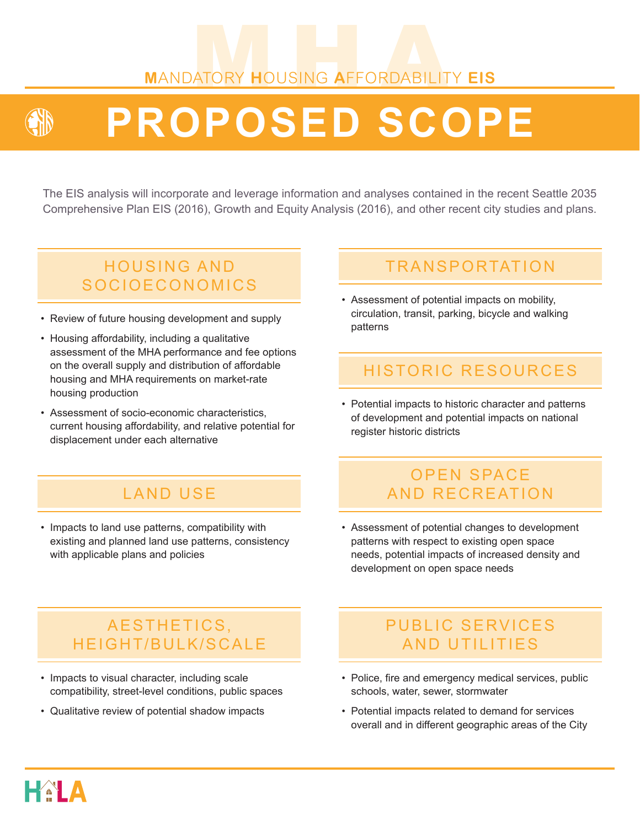**<sup>M</sup>**ANDATORY MHA **<sup>H</sup>**OUSING **<sup>A</sup>**FFORDABILITY **EIS**



## **PROPOSED SCOPE**

The EIS analysis will incorporate and leverage information and analyses contained in the recent Seattle 2035 Comprehensive Plan EIS (2016), Growth and Equity Analysis (2016), and other recent city studies and plans.

## HOUSING AND SOCIOECONOMICS

- Review of future housing development and supply
- Housing affordability, including a qualitative assessment of the MHA performance and fee options on the overall supply and distribution of affordable housing and MHA requirements on market-rate housing production
- Assessment of socio-economic characteristics, current housing affordability, and relative potential for displacement under each alternative

## TRANSPORTATION

• Assessment of potential impacts on mobility, circulation, transit, parking, bicycle and walking patterns

## HISTORIC RESOURCES

• Potential impacts to historic character and patterns of development and potential impacts on national register historic districts

## LAND USE

• Impacts to land use patterns, compatibility with existing and planned land use patterns, consistency with applicable plans and policies

## OPEN SPACE AND RECREATION

• Assessment of potential changes to development patterns with respect to existing open space needs, potential impacts of increased density and development on open space needs

## AESTHETICS, HEIGHT/BULK/SCALE

- Impacts to visual character, including scale compatibility, street-level conditions, public spaces
- Qualitative review of potential shadow impacts

HA A

## PUBLIC SERVICES AND UTILITIES

- Police, fire and emergency medical services, public schools, water, sewer, stormwater
- Potential impacts related to demand for services overall and in different geographic areas of the City